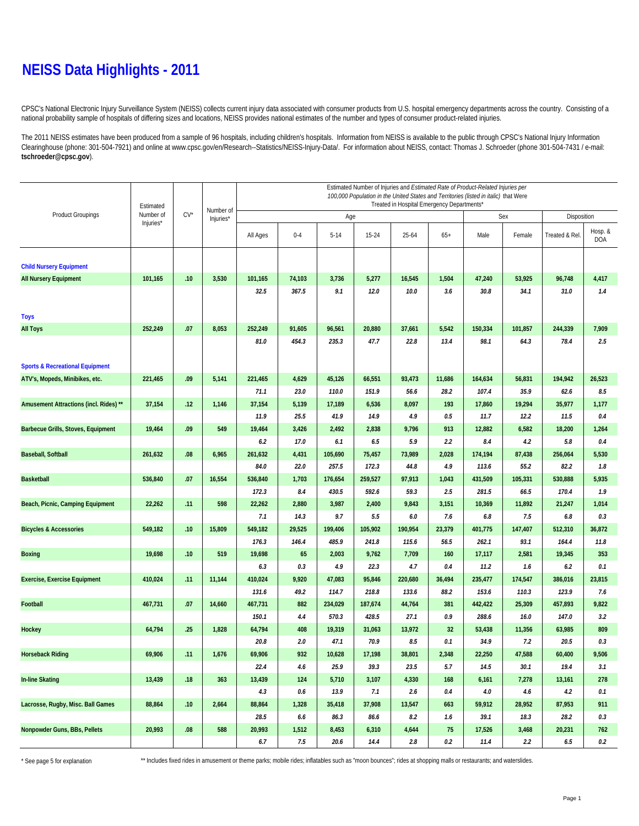## **NEISS Data Highlights - 2011**

CPSC's National Electronic Injury Surveillance System (NEISS) collects current injury data associated with consumer products from U.S. hospital emergency departments across the country. Consisting of a national probability sample of hospitals of differing sizes and locations, NEISS provides national estimates of the number and types of consumer product-related injuries.

The 2011 NEISS estimates have been produced from a sample of 96 hospitals, including children's hospitals. Information from NEISS is available to the public through CPSC's National Injury Information Clearinghouse (phone: 301-504-7921) and online at www.cpsc.gov/en/Research--Statistics/NEISS-Injury-Data/. For information about NEISS, contact: Thomas J. Schroeder (phone 301-504-7431 / e-mail: **tschroeder@cpsc.gov**).

|                                            | Estimated<br>Number of | $CV^{\star}$ |                        | Estimated Number of Injuries and Estimated Rate of Product-Related Injuries per<br>100,000 Population in the United States and Territories (listed in italic) that Were<br>Treated in Hospital Emergency Departments* |         |          |           |         |         |         |             |                |                       |  |
|--------------------------------------------|------------------------|--------------|------------------------|-----------------------------------------------------------------------------------------------------------------------------------------------------------------------------------------------------------------------|---------|----------|-----------|---------|---------|---------|-------------|----------------|-----------------------|--|
| <b>Product Groupings</b>                   |                        |              | Number of<br>Injuries* |                                                                                                                                                                                                                       |         | Age      |           |         |         | Sex     | Disposition |                |                       |  |
|                                            | Injuries*              |              |                        | All Ages                                                                                                                                                                                                              | $0 - 4$ | $5 - 14$ | $15 - 24$ | 25-64   | $65+$   | Male    | Female      | Treated & Rel. | Hosp. &<br><b>DOA</b> |  |
| <b>Child Nursery Equipment</b>             |                        |              |                        |                                                                                                                                                                                                                       |         |          |           |         |         |         |             |                |                       |  |
| <b>All Nursery Equipment</b>               | 101,165                | .10          | 3,530                  | 101,165                                                                                                                                                                                                               | 74,103  | 3,736    | 5,277     | 16,545  | 1,504   | 47,240  | 53,925      | 96,748         | 4,417                 |  |
|                                            |                        |              |                        | 32.5                                                                                                                                                                                                                  | 367.5   | 9.1      | 12.0      | 10.0    | 3.6     | 30.8    | 34.1        | 31.0           | 1.4                   |  |
| <b>Toys</b>                                |                        |              |                        |                                                                                                                                                                                                                       |         |          |           |         |         |         |             |                |                       |  |
| <b>All Toys</b>                            | 252,249                | .07          | 8,053                  | 252,249                                                                                                                                                                                                               | 91,605  | 96,561   | 20,880    | 37,661  | 5,542   | 150,334 | 101,857     | 244,339        | 7,909                 |  |
|                                            |                        |              |                        | 81.0                                                                                                                                                                                                                  | 454.3   | 235.3    | 47.7      | 22.8    | 13.4    | 98.1    | 64.3        | 78.4           | 2.5                   |  |
| <b>Sports &amp; Recreational Equipment</b> |                        |              |                        |                                                                                                                                                                                                                       |         |          |           |         |         |         |             |                |                       |  |
| ATV's, Mopeds, Minibikes, etc.             | 221,465                | .09          | 5,141                  | 221,465                                                                                                                                                                                                               | 4,629   | 45,126   | 66,551    | 93,473  | 11,686  | 164,634 | 56,831      | 194,942        | 26,523                |  |
|                                            |                        |              |                        | 71.1                                                                                                                                                                                                                  | 23.0    | 110.0    | 151.9     | 56.6    | 28.2    | 107.4   | 35.9        | 62.6           | 8.5                   |  |
| Amusement Attractions (incl. Rides) **     | 37,154                 | .12          | 1,146                  | 37,154                                                                                                                                                                                                                | 5,139   | 17,189   | 6,536     | 8,097   | 193     | 17,860  | 19,294      | 35,977         | 1,177                 |  |
|                                            |                        |              |                        | 11.9                                                                                                                                                                                                                  | 25.5    | 41.9     | 14.9      | 4.9     | 0.5     | 11.7    | 12.2        | 11.5           | 0.4                   |  |
| <b>Barbecue Grills, Stoves, Equipment</b>  | 19,464                 | .09          | 549                    | 19,464                                                                                                                                                                                                                | 3,426   | 2,492    | 2,838     | 9,796   | 913     | 12,882  | 6,582       | 18,200         | 1,264                 |  |
|                                            |                        |              |                        | 6.2                                                                                                                                                                                                                   | 17.0    | 6.1      | 6.5       | 5.9     | 2.2     | 8.4     | 4.2         | 5.8            | 0.4                   |  |
| <b>Baseball, Softball</b>                  | 261,632                | 0.08         | 6,965                  | 261,632                                                                                                                                                                                                               | 4,431   | 105,690  | 75,457    | 73,989  | 2,028   | 174,194 | 87,438      | 256,064        | 5,530                 |  |
|                                            |                        |              |                        | 84.0                                                                                                                                                                                                                  | 22.0    | 257.5    | 172.3     | 44.8    | 4.9     | 113.6   | 55.2        | 82.2           | 1.8                   |  |
| <b>Basketball</b>                          | 536,840                | .07          | 16,554                 | 536,840                                                                                                                                                                                                               | 1,703   | 176,654  | 259,527   | 97,913  | 1,043   | 431,509 | 105,331     | 530,888        | 5,935                 |  |
|                                            |                        |              |                        | 172.3                                                                                                                                                                                                                 | 8.4     | 430.5    | 592.6     | 59.3    | 2.5     | 281.5   | 66.5        | 170.4          | 1.9                   |  |
| Beach, Picnic, Camping Equipment           | 22,262                 | .11          | 598                    | 22,262                                                                                                                                                                                                                | 2,880   | 3,987    | 2,400     | 9,843   | 3,151   | 10,369  | 11,892      | 21,247         | 1,014                 |  |
|                                            |                        |              |                        | 7.1                                                                                                                                                                                                                   | 14.3    | 9.7      | 5.5       | 6.0     | 7.6     | $6.8\,$ | 7.5         | 6.8            | 0.3                   |  |
| <b>Bicycles &amp; Accessories</b>          | 549,182                | .10          | 15,809                 | 549,182                                                                                                                                                                                                               | 29,525  | 199,406  | 105,902   | 190,954 | 23,379  | 401,775 | 147,407     | 512,310        | 36,872                |  |
|                                            |                        |              |                        | 176.3                                                                                                                                                                                                                 | 146.4   | 485.9    | 241.8     | 115.6   | 56.5    | 262.1   | 93.1        | 164.4          | 11.8                  |  |
| <b>Boxing</b>                              | 19,698                 | .10          | 519                    | 19,698                                                                                                                                                                                                                | 65      | 2,003    | 9,762     | 7,709   | 160     | 17,117  | 2,581       | 19,345         | 353                   |  |
|                                            |                        |              |                        | 6.3                                                                                                                                                                                                                   | 0.3     | 4.9      | 22.3      | 4.7     | 0.4     | 11.2    | 1.6         | 6.2            | 0.1                   |  |
| <b>Exercise, Exercise Equipment</b>        | 410,024                | .11          | 11,144                 | 410,024                                                                                                                                                                                                               | 9,920   | 47,083   | 95,846    | 220,680 | 36,494  | 235,477 | 174,547     | 386,016        | 23,815                |  |
|                                            |                        |              |                        | 131.6                                                                                                                                                                                                                 | 49.2    | 114.7    | 218.8     | 133.6   | 88.2    | 153.6   | 110.3       | 123.9          | 7.6                   |  |
| Football                                   | 467,731                | .07          | 14,660                 | 467,731                                                                                                                                                                                                               | 882     | 234,029  | 187,674   | 44,764  | 381     | 442,422 | 25,309      | 457,893        | 9,822                 |  |
|                                            |                        |              |                        | 150.1                                                                                                                                                                                                                 | 4.4     | 570.3    | 428.5     | 27.1    | 0.9     | 288.6   | 16.0        | 147.0          | 3.2                   |  |
| Hockey                                     | 64,794                 | .25          | 1,828                  | 64,794                                                                                                                                                                                                                | 408     | 19,319   | 31,063    | 13,972  | 32      | 53,438  | 11,356      | 63,985         | 809                   |  |
|                                            |                        |              |                        | 20.8                                                                                                                                                                                                                  | 2.0     | 47.1     | 70.9      | 8.5     | 0.1     | 34.9    | 7.2         | 20.5           | 0.3                   |  |
| <b>Horseback Riding</b>                    | 69,906                 | .11          | 1,676                  | 69,906                                                                                                                                                                                                                | 932     | 10,628   | 17,198    | 38,801  | 2,348   | 22,250  | 47,588      | 60,400         | 9,506                 |  |
|                                            |                        |              |                        | 22.4                                                                                                                                                                                                                  | 4.6     | 25.9     | 39.3      | 23.5    | 5.7     | 14.5    | 30.1        | 19.4           | 3.1                   |  |
| <b>In-line Skating</b>                     | 13,439                 | .18          | 363                    | 13,439                                                                                                                                                                                                                | 124     | 5,710    | 3,107     | 4,330   | 168     | 6,161   | 7,278       | 13,161         | 278                   |  |
|                                            |                        |              |                        | 4.3                                                                                                                                                                                                                   | 0.6     | 13.9     | 7.1       | 2.6     | 0.4     | 4.0     | 4.6         | 4.2            | 0.1                   |  |
| Lacrosse, Rugby, Misc. Ball Games          | 88,864                 | .10          | 2,664                  | 88,864                                                                                                                                                                                                                | 1,328   | 35,418   | 37,908    | 13,547  | 663     | 59,912  | 28,952      | 87,953         | 911                   |  |
|                                            |                        |              |                        | 28.5                                                                                                                                                                                                                  | 6.6     | 86.3     | 86.6      | 8.2     | 1.6     | 39.1    | 18.3        | 28.2           | 0.3                   |  |
| Nonpowder Guns, BBs, Pellets               | 20,993                 | .08          | 588                    | 20,993                                                                                                                                                                                                                | 1,512   | 8,453    | 6,310     | 4,644   | 75      | 17,526  | 3,468       | 20,231         | 762                   |  |
|                                            |                        |              |                        | 6.7                                                                                                                                                                                                                   | 7.5     | 20.6     | 14.4      | 2.8     | $0.2\,$ | 11.4    | 2.2         | 6.5            | 0.2                   |  |

\* See page 5 for explanation \*\* Includes fixed rides in amusement or theme parks; mobile rides; inflatables such as "moon bounces"; rides at shopping malls or restaurants; and waterslides.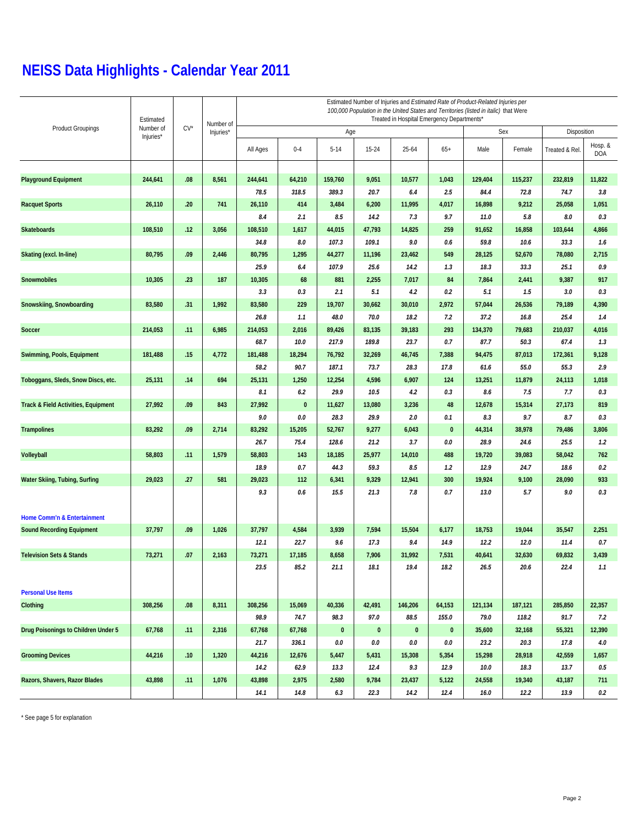# **NEISS Data Highlights - Calendar Year 2011**

| <b>Product Groupings</b>            | Estimated              | $CV^{\star}$ | Number of | Estimated Number of Injuries and Estimated Rate of Product-Related Injuries per<br>100,000 Population in the United States and Territories (listed in italic) that Were<br>Treated in Hospital Emergency Departments* |           |          |           |           |           |             |         |                |                       |  |
|-------------------------------------|------------------------|--------------|-----------|-----------------------------------------------------------------------------------------------------------------------------------------------------------------------------------------------------------------------|-----------|----------|-----------|-----------|-----------|-------------|---------|----------------|-----------------------|--|
|                                     | Number of<br>Injuries* |              | Injuries* |                                                                                                                                                                                                                       |           | Age      |           |           | Sex       | Disposition |         |                |                       |  |
|                                     |                        |              |           | All Ages                                                                                                                                                                                                              | $0 - 4$   | $5 - 14$ | 15-24     | 25-64     | $65+$     | Male        | Female  | Treated & Rel. | Hosp. &<br><b>DOA</b> |  |
|                                     |                        |              |           |                                                                                                                                                                                                                       |           |          |           |           |           |             |         |                |                       |  |
| <b>Playground Equipment</b>         | 244,641                | .08          | 8,561     | 244,641                                                                                                                                                                                                               | 64,210    | 159,760  | 9,051     | 10,577    | 1,043     | 129,404     | 115,237 | 232,819        | 11,822                |  |
|                                     |                        |              |           | 78.5                                                                                                                                                                                                                  | 318.5     | 389.3    | 20.7      | 6.4       | 2.5       | 84.4        | 72.8    | 74.7           | 3.8                   |  |
| <b>Racquet Sports</b>               | 26,110                 | .20          | 741       | 26,110                                                                                                                                                                                                                | 414       | 3,484    | 6,200     | 11,995    | 4,017     | 16,898      | 9,212   | 25,058         | 1,051                 |  |
|                                     |                        |              |           | 8.4                                                                                                                                                                                                                   | 2.1       | 8.5      | 14.2      | 7.3       | 9.7       | 11.0        | 5.8     | 8.0            | 0.3                   |  |
| <b>Skateboards</b>                  | 108,510                | .12          | 3,056     | 108,510                                                                                                                                                                                                               | 1,617     | 44,015   | 47,793    | 14,825    | 259       | 91,652      | 16,858  | 103,644        | 4,866                 |  |
|                                     |                        |              |           | 34.8                                                                                                                                                                                                                  | 8.0       | 107.3    | 109.1     | 9.0       | 0.6       | 59.8        | 10.6    | 33.3           | 1.6                   |  |
| Skating (excl. In-line)             | 80,795                 | .09          | 2,446     | 80,795                                                                                                                                                                                                                | 1,295     | 44,277   | 11,196    | 23,462    | 549       | 28,125      | 52,670  | 78,080         | 2,715                 |  |
|                                     |                        |              |           | 25.9                                                                                                                                                                                                                  | 6.4       | 107.9    | 25.6      | 14.2      | 1.3       | 18.3        | 33.3    | 25.1           | 0.9                   |  |
| Snowmobiles                         | 10,305                 | .23          | 187       | 10,305                                                                                                                                                                                                                | 68        | 881      | 2,255     | 7,017     | 84        | 7,864       | 2,441   | 9,387          | 917                   |  |
|                                     |                        |              |           | 3.3                                                                                                                                                                                                                   | 0.3       | 2.1      | 5.1       | 4.2       | 0.2       | 5.1         | 1.5     | 3.0            | 0.3                   |  |
| Snowskiing, Snowboarding            | 83,580                 | .31          | 1,992     | 83,580                                                                                                                                                                                                                | 229       | 19,707   | 30,662    | 30,010    | 2,972     | 57,044      | 26,536  | 79,189         | 4,390                 |  |
|                                     |                        |              |           | 26.8                                                                                                                                                                                                                  | 1.1       | 48.0     | 70.0      | 18.2      | 7.2       | 37.2        | 16.8    | 25.4           | 1.4                   |  |
| Soccer                              | 214,053                | .11          | 6,985     | 214,053                                                                                                                                                                                                               | 2,016     | 89,426   | 83,135    | 39,183    | 293       | 134,370     | 79,683  | 210,037        | 4,016                 |  |
|                                     |                        |              |           | 68.7                                                                                                                                                                                                                  | 10.0      | 217.9    | 189.8     | 23.7      | 0.7       | 87.7        | 50.3    | 67.4           | 1.3                   |  |
| Swimming, Pools, Equipment          | 181,488                | .15          | 4,772     | 181,488                                                                                                                                                                                                               | 18,294    | 76,792   | 32,269    | 46,745    | 7,388     | 94,475      | 87,013  | 172,361        | 9,128                 |  |
|                                     |                        |              |           | 58.2                                                                                                                                                                                                                  | 90.7      | 187.1    | 73.7      | 28.3      | 17.8      | 61.6        | 55.0    | 55.3           | 2.9                   |  |
| Toboggans, Sleds, Snow Discs, etc.  | 25,131                 | .14          | 694       | 25,131                                                                                                                                                                                                                | 1,250     | 12,254   | 4,596     | 6,907     | 124       | 13,251      | 11,879  | 24,113         | 1,018                 |  |
|                                     |                        |              |           | 8.1                                                                                                                                                                                                                   | 6.2       | 29.9     | 10.5      | 4.2       | 0.3       | 8.6         | 7.5     | 7.7            | 0.3                   |  |
| Track & Field Activities, Equipment | 27,992                 | .09          | 843       | 27,992                                                                                                                                                                                                                | $\pmb{0}$ | 11,627   | 13,080    | 3,236     | 48        | 12,678      | 15,314  | 27,173         | 819                   |  |
|                                     |                        |              |           | 9.0                                                                                                                                                                                                                   | 0.0       | 28.3     | 29.9      | 2.0       | 0.1       | 8.3         | 9.7     | 8.7            | 0.3                   |  |
| <b>Trampolines</b>                  | 83,292                 | .09          | 2,714     | 83,292                                                                                                                                                                                                                | 15,205    | 52,767   | 9,277     | 6,043     | $\pmb{0}$ | 44,314      | 38,978  | 79,486         | 3,806                 |  |
|                                     |                        |              |           | 26.7                                                                                                                                                                                                                  | 75.4      | 128.6    | 21.2      | 3.7       | 0.0       | 28.9        | 24.6    | 25.5           | 1.2                   |  |
| Volleyball                          | 58,803                 | .11          | 1,579     | 58,803                                                                                                                                                                                                                | 143       | 18,185   | 25,977    | 14,010    | 488       | 19,720      | 39,083  | 58,042         | 762                   |  |
|                                     |                        |              |           | 18.9                                                                                                                                                                                                                  | 0.7       | 44.3     | 59.3      | 8.5       | 1.2       | 12.9        | 24.7    | 18.6           | 0.2                   |  |
| Water Skiing, Tubing, Surfing       | 29,023                 | .27          | 581       | 29,023                                                                                                                                                                                                                | 112       | 6,341    | 9,329     | 12,941    | 300       | 19,924      | 9,100   | 28,090         | 933                   |  |
|                                     |                        |              |           | 9.3                                                                                                                                                                                                                   | 0.6       | 15.5     | 21.3      | 7.8       | 0.7       | 13.0        | 5.7     | 9.0            | 0.3                   |  |
| Home Comm'n & Entertainment         |                        |              |           |                                                                                                                                                                                                                       |           |          |           |           |           |             |         |                |                       |  |
| <b>Sound Recording Equipment</b>    | 37,797                 | .09          | 1,026     | 37,797                                                                                                                                                                                                                | 4,584     | 3,939    | 7,594     | 15,504    | 6,177     | 18,753      | 19,044  | 35,547         | 2,251                 |  |
|                                     |                        |              |           | 12.1                                                                                                                                                                                                                  | 22.7      | 9.6      | 17.3      | 9.4       | 14.9      | 12.2        | 12.0    | 11.4           | 0.7                   |  |
| <b>Television Sets &amp; Stands</b> | 73,271                 | .07          | 2,163     | 73,271                                                                                                                                                                                                                | 17,185    | 8,658    | 7,906     | 31,992    | 7,531     | 40,641      | 32,630  | 69,832         | 3,439                 |  |
|                                     |                        |              |           | 23.5                                                                                                                                                                                                                  | 85.2      | 21.1     | 18.1      | 19.4      | 18.2      | 26.5        | 20.6    | 22.4           | 1.1                   |  |
| <b>Personal Use Items</b>           |                        |              |           |                                                                                                                                                                                                                       |           |          |           |           |           |             |         |                |                       |  |
| Clothing                            | 308,256                | .08          | 8,311     | 308,256                                                                                                                                                                                                               | 15,069    | 40,336   | 42,491    | 146,206   | 64,153    | 121,134     | 187,121 | 285,850        | 22,357                |  |
|                                     |                        |              |           | 98.9                                                                                                                                                                                                                  | 74.7      | 98.3     | 97.0      | 88.5      | 155.0     | 79.0        | 118.2   | 91.7           | 7.2                   |  |
| Drug Poisonings to Children Under 5 | 67,768                 | .11          | 2,316     | 67,768                                                                                                                                                                                                                | 67,768    | $\bf{0}$ | $\pmb{0}$ | $\pmb{0}$ | $\bf{0}$  | 35,600      | 32,168  | 55,321         | 12,390                |  |
|                                     |                        |              |           | 21.7                                                                                                                                                                                                                  | 336.1     | $0.0\,$  | $0.0\,$   | 0.0       | $0.0\,$   | 23.2        | 20.3    | 17.8           | 4.0                   |  |
| <b>Grooming Devices</b>             | 44,216                 | .10          | 1,320     | 44,216                                                                                                                                                                                                                | 12,676    | 5,447    | 5,431     | 15,308    | 5,354     | 15,298      | 28,918  | 42,559         | 1,657                 |  |
|                                     |                        |              |           | 14.2                                                                                                                                                                                                                  | 62.9      | 13.3     | 12.4      | 9.3       | 12.9      | $10.0\,$    | 18.3    | 13.7           | $0.5\,$               |  |
| Razors, Shavers, Razor Blades       | 43,898                 | .11          | 1,076     | 43,898                                                                                                                                                                                                                | 2,975     | 2,580    | 9,784     | 23,437    | 5,122     | 24,558      | 19,340  | 43,187         | 711                   |  |
|                                     |                        |              |           | 14.1                                                                                                                                                                                                                  | 14.8      | 6.3      | 22.3      | 14.2      | 12.4      | 16.0        | 12.2    | 13.9           | $0.2\,$               |  |
|                                     |                        |              |           |                                                                                                                                                                                                                       |           |          |           |           |           |             |         |                |                       |  |

\* See page 5 for explanation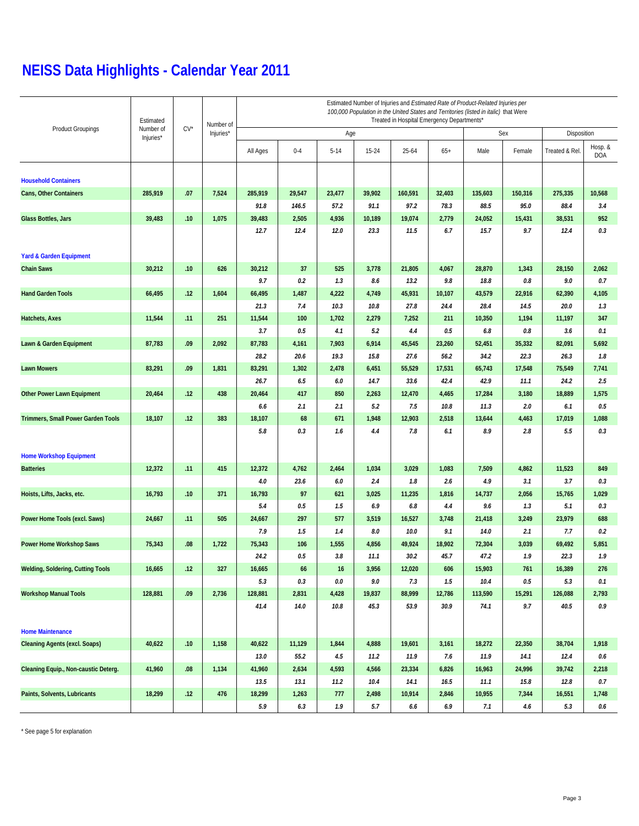## **NEISS Data Highlights - Calendar Year 2011**

|                                           | Estimated              |              | Number of | Estimated Number of Injuries and Estimated Rate of Product-Related Injuries per<br>100,000 Population in the United States and Territories (listed in italic) that Were<br>Treated in Hospital Emergency Departments* |         |          |         |           |        |         |         |                |                       |  |
|-------------------------------------------|------------------------|--------------|-----------|-----------------------------------------------------------------------------------------------------------------------------------------------------------------------------------------------------------------------|---------|----------|---------|-----------|--------|---------|---------|----------------|-----------------------|--|
| <b>Product Groupings</b>                  | Number of<br>Injuries* | $CV^{\star}$ | Injuries* |                                                                                                                                                                                                                       |         | Age      |         |           |        |         | Sex     | Disposition    |                       |  |
|                                           |                        |              |           | All Ages                                                                                                                                                                                                              | $0 - 4$ | $5 - 14$ | 15-24   | $25 - 64$ | $65+$  | Male    | Female  | Treated & Rel. | Hosp. &<br><b>DOA</b> |  |
| <b>Household Containers</b>               |                        |              |           |                                                                                                                                                                                                                       |         |          |         |           |        |         |         |                |                       |  |
| Cans, Other Containers                    | 285,919                | .07          | 7,524     | 285,919                                                                                                                                                                                                               | 29,547  | 23,477   | 39,902  | 160,591   | 32,403 | 135,603 | 150,316 | 275,335        | 10,568                |  |
|                                           |                        |              |           | 91.8                                                                                                                                                                                                                  | 146.5   | 57.2     | 91.1    | 97.2      | 78.3   | 88.5    | 95.0    | 88.4           | 3.4                   |  |
| <b>Glass Bottles, Jars</b>                | 39,483                 | .10          | 1,075     | 39,483                                                                                                                                                                                                                | 2,505   | 4,936    | 10,189  | 19,074    | 2,779  | 24,052  | 15,431  | 38,531         | 952                   |  |
|                                           |                        |              |           | 12.7                                                                                                                                                                                                                  | 12.4    | 12.0     | 23.3    | 11.5      | 6.7    | 15.7    | 9.7     | 12.4           | 0.3                   |  |
| <b>Yard &amp; Garden Equipment</b>        |                        |              |           |                                                                                                                                                                                                                       |         |          |         |           |        |         |         |                |                       |  |
| <b>Chain Saws</b>                         | 30,212                 | .10          | 626       | 30,212                                                                                                                                                                                                                | 37      | 525      | 3,778   | 21,805    | 4,067  | 28,870  | 1,343   | 28,150         | 2,062                 |  |
|                                           |                        |              |           | 9.7                                                                                                                                                                                                                   | 0.2     | 1.3      | 8.6     | 13.2      | 9.8    | 18.8    | 0.8     | 9.0            | 0.7                   |  |
| <b>Hand Garden Tools</b>                  | 66,495                 | .12          | 1,604     | 66,495                                                                                                                                                                                                                | 1,487   | 4,222    | 4,749   | 45,931    | 10,107 | 43,579  | 22,916  | 62,390         | 4,105                 |  |
|                                           |                        |              |           | 21.3                                                                                                                                                                                                                  | 7.4     | 10.3     | 10.8    | 27.8      | 24.4   | 28.4    | 14.5    | 20.0           | 1.3                   |  |
| Hatchets, Axes                            | 11,544                 | .11          | 251       | 11,544                                                                                                                                                                                                                | 100     | 1,702    | 2,279   | 7,252     | 211    | 10,350  | 1,194   | 11,197         | 347                   |  |
|                                           |                        |              |           | 3.7                                                                                                                                                                                                                   | 0.5     | 4.1      | 5.2     | 4.4       | 0.5    | 6.8     | 0.8     | 3.6            | 0.1                   |  |
| Lawn & Garden Equipment                   | 87,783                 | .09          | 2,092     | 87,783                                                                                                                                                                                                                | 4,161   | 7,903    | 6,914   | 45,545    | 23,260 | 52,451  | 35,332  | 82,091         | 5,692                 |  |
|                                           |                        |              |           | 28.2                                                                                                                                                                                                                  | 20.6    | 19.3     | 15.8    | 27.6      | 56.2   | 34.2    | 22.3    | 26.3           | 1.8                   |  |
| <b>Lawn Mowers</b>                        | 83,291                 | .09          | 1,831     | 83,291                                                                                                                                                                                                                | 1,302   | 2,478    | 6,451   | 55,529    | 17,531 | 65,743  | 17,548  | 75,549         | 7,741                 |  |
|                                           |                        |              |           | 26.7                                                                                                                                                                                                                  | 6.5     | 6.0      | 14.7    | 33.6      | 42.4   | 42.9    | 11.1    | 24.2           | 2.5                   |  |
| <b>Other Power Lawn Equipment</b>         | 20,464                 | .12          | 438       | 20,464                                                                                                                                                                                                                | 417     | 850      | 2,263   | 12,470    | 4,465  | 17,284  | 3,180   | 18,889         | 1,575                 |  |
|                                           |                        |              |           | 6.6                                                                                                                                                                                                                   | 2.1     | 2.1      | 5.2     | 7.5       | 10.8   | 11.3    | 2.0     | 6.1            | 0.5                   |  |
| <b>Trimmers, Small Power Garden Tools</b> | 18,107                 | .12          | 383       | 18,107                                                                                                                                                                                                                | 68      | 671      | 1,948   | 12,903    | 2,518  | 13,644  | 4,463   | 17,019         | 1,088                 |  |
|                                           |                        |              |           | 5.8                                                                                                                                                                                                                   | 0.3     | 1.6      | 4.4     | 7.8       | 6.1    | 8.9     | 2.8     | 5.5            | 0.3                   |  |
| <b>Home Workshop Equipment</b>            |                        |              |           |                                                                                                                                                                                                                       |         |          |         |           |        |         |         |                |                       |  |
| <b>Batteries</b>                          | 12,372                 | .11          | 415       | 12,372                                                                                                                                                                                                                | 4,762   | 2,464    | 1,034   | 3,029     | 1,083  | 7,509   | 4,862   | 11,523         | 849                   |  |
|                                           |                        |              |           | 4.0                                                                                                                                                                                                                   | 23.6    | 6.0      | 2.4     | 1.8       | 2.6    | 4.9     | 3.1     | 3.7            | 0.3                   |  |
| Hoists, Lifts, Jacks, etc.                | 16,793                 | .10          | 371       | 16,793                                                                                                                                                                                                                | 97      | 621      | 3,025   | 11,235    | 1,816  | 14,737  | 2,056   | 15,765         | 1,029                 |  |
|                                           |                        |              |           | 5.4                                                                                                                                                                                                                   | 0.5     | 1.5      | 6.9     | 6.8       | 4.4    | 9.6     | 1.3     | 5.1            | 0.3                   |  |
| Power Home Tools (excl. Saws)             | 24,667                 | .11          | 505       | 24,667                                                                                                                                                                                                                | 297     | 577      | 3,519   | 16,527    | 3,748  | 21,418  | 3,249   | 23,979         | 688                   |  |
|                                           |                        |              |           | 7.9                                                                                                                                                                                                                   | 1.5     | 1.4      | $8.0\,$ | 10.0      | 9.1    | 14.0    | 2.1     | 7.7            | 0.2                   |  |
| Power Home Workshop Saws                  | 75,343                 | .08          | 1,722     | 75,343                                                                                                                                                                                                                | 106     | 1,555    | 4,856   | 49,924    | 18,902 | 72,304  | 3,039   | 69,492         | 5,851                 |  |
|                                           |                        |              |           | 24.2                                                                                                                                                                                                                  | $0.5\,$ | 3.8      | 11.1    | 30.2      | 45.7   | 47.2    | 1.9     | 22.3           | 1.9                   |  |
| <b>Welding, Soldering, Cutting Tools</b>  | 16,665                 | .12          | 327       | 16,665                                                                                                                                                                                                                | 66      | $16$     | 3,956   | 12,020    | 606    | 15,903  | 761     | 16,389         | 276                   |  |
|                                           |                        |              |           | 5.3                                                                                                                                                                                                                   | 0.3     | $0.0\,$  | 9.0     | 7.3       | 1.5    | 10.4    | $0.5\,$ | 5.3            | 0.1                   |  |
| <b>Workshop Manual Tools</b>              | 128,881                | .09          | 2,736     | 128,881                                                                                                                                                                                                               | 2,831   | 4,428    | 19,837  | 88,999    | 12,786 | 113,590 | 15,291  | 126,088        | 2,793                 |  |
|                                           |                        |              |           | 41.4                                                                                                                                                                                                                  | 14.0    | 10.8     | 45.3    | 53.9      | 30.9   | 74.1    | 9.7     | 40.5           | 0.9                   |  |
| <b>Home Maintenance</b>                   |                        |              |           |                                                                                                                                                                                                                       |         |          |         |           |        |         |         |                |                       |  |
| <b>Cleaning Agents (excl. Soaps)</b>      | 40,622                 | .10          | 1,158     | 40,622                                                                                                                                                                                                                | 11,129  | 1,844    | 4,888   | 19,601    | 3,161  | 18,272  | 22,350  | 38,704         | 1,918                 |  |
|                                           |                        |              |           | 13.0                                                                                                                                                                                                                  | 55.2    | 4.5      | 11.2    | 11.9      | 7.6    | 11.9    | 14.1    | 12.4           | $0.6\,$               |  |
| Cleaning Equip., Non-caustic Deterg.      | 41,960                 | .08          | 1,134     | 41,960                                                                                                                                                                                                                | 2,634   | 4,593    | 4,566   | 23,334    | 6,826  | 16,963  | 24,996  | 39,742         | 2,218                 |  |
|                                           |                        |              |           | 13.5                                                                                                                                                                                                                  | 13.1    | 11.2     | 10.4    | 14.1      | 16.5   | 11.1    | 15.8    | 12.8           | 0.7                   |  |
| Paints, Solvents, Lubricants              | 18,299                 | .12          | 476       | 18,299                                                                                                                                                                                                                | 1,263   | 777      | 2,498   | 10,914    | 2,846  | 10,955  | 7,344   | 16,551         | 1,748                 |  |
|                                           |                        |              |           | 5.9                                                                                                                                                                                                                   | 6.3     | 1.9      | 5.7     | 6.6       | 6.9    | 7.1     | 4.6     | 5.3            | 0.6                   |  |

\* See page 5 for explanation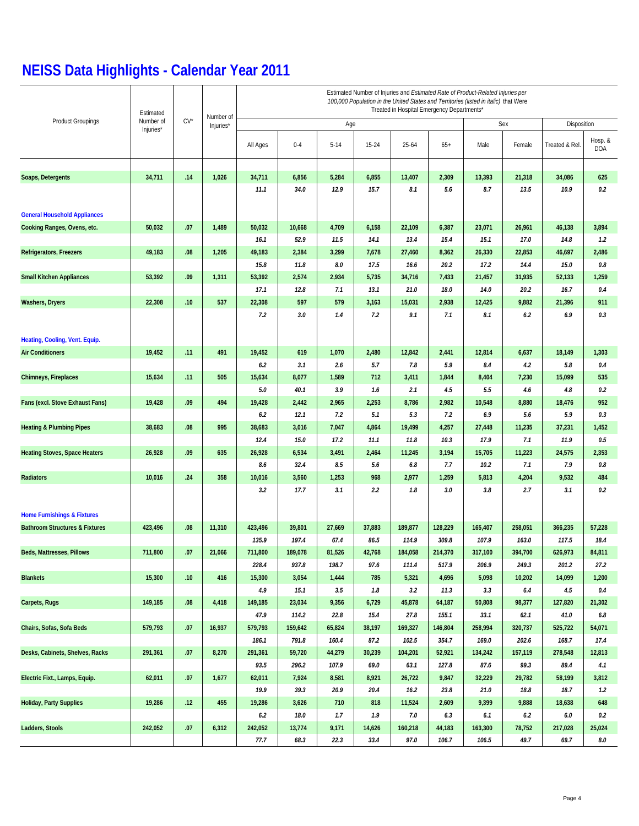# **NEISS Data Highlights - Calendar Year 2011**

|                                           | Estimated              | $CV^*$ |                        | Estimated Number of Injuries and Estimated Rate of Product-Related Injuries per<br>100,000 Population in the United States and Territories (listed in italic) that Were<br>Treated in Hospital Emergency Departments* |         |          |        |         |         |         |         |                |                       |  |  |
|-------------------------------------------|------------------------|--------|------------------------|-----------------------------------------------------------------------------------------------------------------------------------------------------------------------------------------------------------------------|---------|----------|--------|---------|---------|---------|---------|----------------|-----------------------|--|--|
| <b>Product Groupings</b>                  | Number of<br>Injuries* |        | Number of<br>Injuries* | Age                                                                                                                                                                                                                   |         |          |        |         |         |         | Sex     | Disposition    |                       |  |  |
|                                           |                        |        |                        | All Ages                                                                                                                                                                                                              | $0 - 4$ | $5 - 14$ | 15-24  | 25-64   | $65+$   | Male    | Female  | Treated & Rel  | Hosp. &<br><b>DOA</b> |  |  |
|                                           |                        |        |                        |                                                                                                                                                                                                                       |         |          |        |         |         |         |         |                |                       |  |  |
| Soaps, Detergents                         | 34,711                 | .14    | 1,026                  | 34,711                                                                                                                                                                                                                | 6,856   | 5,284    | 6,855  | 13,407  | 2,309   | 13,393  | 21,318  | 34,086<br>10.9 | 625<br>0.2            |  |  |
|                                           |                        |        |                        | 11.1                                                                                                                                                                                                                  | 34.0    | 12.9     | 15.7   | 8.1     | 5.6     | 8.7     | 13.5    |                |                       |  |  |
| <b>General Household Appliances</b>       |                        |        |                        |                                                                                                                                                                                                                       |         |          |        |         |         |         |         |                |                       |  |  |
| Cooking Ranges, Ovens, etc.               | 50,032                 | .07    | 1,489                  | 50,032                                                                                                                                                                                                                | 10,668  | 4,709    | 6,158  | 22,109  | 6,387   | 23,071  | 26,961  | 46,138         | 3,894                 |  |  |
|                                           |                        |        |                        | 16.1                                                                                                                                                                                                                  | 52.9    | 11.5     | 14.1   | 13.4    | 15.4    | 15.1    | 17.0    | 14.8           | 1.2                   |  |  |
| Refrigerators, Freezers                   | 49,183                 | .08    | 1,205                  | 49,183                                                                                                                                                                                                                | 2,384   | 3,299    | 7,678  | 27,460  | 8,362   | 26,330  | 22,853  | 46,697         | 2,486                 |  |  |
|                                           |                        |        |                        | 15.8                                                                                                                                                                                                                  | 11.8    | 8.0      | 17.5   | 16.6    | 20.2    | 17.2    | 14.4    | 15.0           | $0.8\,$               |  |  |
| <b>Small Kitchen Appliances</b>           | 53,392                 | .09    | 1,311                  | 53,392                                                                                                                                                                                                                | 2,574   | 2,934    | 5,735  | 34,716  | 7,433   | 21,457  | 31,935  | 52,133         | 1,259                 |  |  |
|                                           |                        |        |                        | 17.1                                                                                                                                                                                                                  | 12.8    | 7.1      | 13.1   | 21.0    | 18.0    | 14.0    | 20.2    | 16.7           | 0.4                   |  |  |
| Washers, Dryers                           | 22,308                 | .10    | 537                    | 22,308                                                                                                                                                                                                                | 597     | 579      | 3,163  | 15,031  | 2,938   | 12,425  | 9,882   | 21,396         | 911                   |  |  |
|                                           |                        |        |                        | 7.2                                                                                                                                                                                                                   | 3.0     | 1.4      | 7.2    | 9.1     | 7.1     | 8.1     | 6.2     | 6.9            | 0.3                   |  |  |
|                                           |                        |        |                        |                                                                                                                                                                                                                       |         |          |        |         |         |         |         |                |                       |  |  |
| Heating, Cooling, Vent. Equip.            |                        |        |                        |                                                                                                                                                                                                                       |         |          |        |         |         |         |         |                |                       |  |  |
| <b>Air Conditioners</b>                   | 19,452                 | .11    | 491                    | 19,452                                                                                                                                                                                                                | 619     | 1,070    | 2,480  | 12,842  | 2,441   | 12,814  | 6,637   | 18,149         | 1,303                 |  |  |
|                                           |                        |        |                        | 6.2                                                                                                                                                                                                                   | 3.1     | 2.6      | 5.7    | 7.8     | 5.9     | 8.4     | 4.2     | 5.8            | 0.4                   |  |  |
| <b>Chimneys, Fireplaces</b>               | 15,634                 | .11    | 505                    | 15,634                                                                                                                                                                                                                | 8,077   | 1,589    | 712    | 3,411   | 1,844   | 8,404   | 7,230   | 15,099         | 535                   |  |  |
|                                           |                        |        |                        | 5.0                                                                                                                                                                                                                   | 40.1    | 3.9      | 1.6    | 2.1     | 4.5     | 5.5     | 4.6     | 4.8            | 0.2                   |  |  |
| Fans (excl. Stove Exhaust Fans)           | 19,428                 | .09    | 494                    | 19,428                                                                                                                                                                                                                | 2,442   | 2,965    | 2,253  | 8,786   | 2,982   | 10,548  | 8,880   | 18,476         | 952                   |  |  |
|                                           |                        |        |                        | 6.2                                                                                                                                                                                                                   | 12.1    | 7.2      | 5.1    | 5.3     | 7.2     | 6.9     | 5.6     | 5.9            | 0.3                   |  |  |
| <b>Heating &amp; Plumbing Pipes</b>       | 38,683                 | .08    | 995                    | 38,683                                                                                                                                                                                                                | 3,016   | 7,047    | 4,864  | 19,499  | 4,257   | 27,448  | 11,235  | 37,231         | 1,452                 |  |  |
|                                           |                        |        |                        | 12.4                                                                                                                                                                                                                  | 15.0    | 17.2     | 11.1   | 11.8    | 10.3    | 17.9    | 7.1     | 11.9           | $0.5\,$               |  |  |
| <b>Heating Stoves, Space Heaters</b>      | 26,928                 | .09    | 635                    | 26,928                                                                                                                                                                                                                | 6,534   | 3,491    | 2,464  | 11,245  | 3,194   | 15,705  | 11,223  | 24,575         | 2,353                 |  |  |
|                                           |                        |        |                        | 8.6                                                                                                                                                                                                                   | 32.4    | 8.5      | 5.6    | 6.8     | 7.7     | 10.2    | 7.1     | 7.9            | 0.8                   |  |  |
| Radiators                                 | 10,016                 | .24    | 358                    | 10,016                                                                                                                                                                                                                | 3,560   | 1,253    | 968    | 2,977   | 1,259   | 5,813   | 4,204   | 9,532          | 484                   |  |  |
|                                           |                        |        |                        | 3.2                                                                                                                                                                                                                   | 17.7    | 3.1      | 2.2    | 1.8     | 3.0     | 3.8     | 2.7     | 3.1            | 0.2                   |  |  |
| <b>Home Furnishings &amp; Fixtures</b>    |                        |        |                        |                                                                                                                                                                                                                       |         |          |        |         |         |         |         |                |                       |  |  |
| <b>Bathroom Structures &amp; Fixtures</b> | 423,496                | 0.08   | 11,310                 | 423,496                                                                                                                                                                                                               | 39,801  | 27,669   | 37,883 | 189,877 | 128,229 | 165,407 | 258,051 | 366,235        | 57,228                |  |  |
|                                           |                        |        |                        | 135.9                                                                                                                                                                                                                 | 197.4   | 67.4     | 86.5   | 114.9   | 309.8   | 107.9   | 163.0   | 117.5          | 18.4                  |  |  |
| Beds, Mattresses, Pillows                 | 711,800                | .07    | 21,066                 | 711,800                                                                                                                                                                                                               | 189,078 | 81,526   | 42,768 | 184,058 | 214,370 | 317,100 | 394,700 | 626,973        | 84,811                |  |  |
|                                           |                        |        |                        | 228.4                                                                                                                                                                                                                 | 937.8   | 198.7    | 97.6   | 111.4   | 517.9   | 206.9   | 249.3   | 201.2          | 27.2                  |  |  |
| <b>Blankets</b>                           | 15,300                 | .10    | 416                    | 15,300                                                                                                                                                                                                                | 3,054   | 1,444    | 785    | 5,321   | 4,696   | 5,098   | 10,202  | 14,099         | 1,200                 |  |  |
|                                           |                        |        |                        | 4.9                                                                                                                                                                                                                   | 15.1    | 3.5      | 1.8    | 3.2     | 11.3    | 3.3     | 6.4     | 4.5            | 0.4                   |  |  |
| Carpets, Rugs                             | 149,185                | 0.08   | 4,418                  | 149,185                                                                                                                                                                                                               | 23,034  | 9,356    | 6,729  | 45,878  | 64,187  | 50,808  | 98,377  | 127,820        | 21,302                |  |  |
|                                           |                        |        |                        | 47.9                                                                                                                                                                                                                  | 114.2   | 22.8     | 15.4   | 27.8    | 155.1   | 33.1    | 62.1    | 41.0           | $6.8\,$               |  |  |
| Chairs, Sofas, Sofa Beds                  | 579,793                | .07    | 16,937                 | 579,793                                                                                                                                                                                                               | 159,642 | 65,824   | 38,197 | 169,327 | 146,804 | 258,994 | 320,737 | 525,722        | 54,071                |  |  |
|                                           |                        |        |                        | 186.1                                                                                                                                                                                                                 | 791.8   | 160.4    | 87.2   | 102.5   | 354.7   | 169.0   | 202.6   | 168.7          | 17.4                  |  |  |
| Desks, Cabinets, Shelves, Racks           | 291,361                | .07    | 8,270                  | 291,361                                                                                                                                                                                                               | 59,720  | 44,279   | 30,239 | 104,201 | 52,921  | 134,242 | 157,119 | 278,548        | 12,813                |  |  |
|                                           |                        |        |                        | 93.5                                                                                                                                                                                                                  | 296.2   | 107.9    | 69.0   | 63.1    | 127.8   | 87.6    | 99.3    | 89.4           | 4.1                   |  |  |
| Electric Fixt., Lamps, Equip.             | 62,011                 | .07    | 1,677                  | 62,011                                                                                                                                                                                                                | 7,924   | 8,581    | 8,921  | 26,722  | 9,847   | 32,229  | 29,782  | 58,199         | 3,812                 |  |  |
|                                           |                        |        |                        | 19.9                                                                                                                                                                                                                  | 39.3    | 20.9     | 20.4   | 16.2    | 23.8    | 21.0    | 18.8    | 18.7           | 1.2                   |  |  |
| <b>Holiday, Party Supplies</b>            | 19,286                 | .12    | 455                    | 19,286                                                                                                                                                                                                                | 3,626   | 710      | 818    | 11,524  | 2,609   | 9,399   | 9,888   | 18,638         | 648                   |  |  |
|                                           |                        |        |                        | 6.2                                                                                                                                                                                                                   | 18.0    | 1.7      | 1.9    | 7.0     | 6.3     | 6.1     | $6.2\,$ | 6.0            | 0.2                   |  |  |
| Ladders, Stools                           | 242,052                | .07    | 6,312                  | 242,052                                                                                                                                                                                                               | 13,774  | 9,171    | 14,626 | 160,218 | 44,183  | 163,300 | 78,752  | 217,028        | 25,024                |  |  |
|                                           |                        |        |                        | 77.7                                                                                                                                                                                                                  | 68.3    | 22.3     | 33.4   | 97.0    | 106.7   | 106.5   | 49.7    | 69.7           | 8.0                   |  |  |
|                                           |                        |        |                        |                                                                                                                                                                                                                       |         |          |        |         |         |         |         |                |                       |  |  |